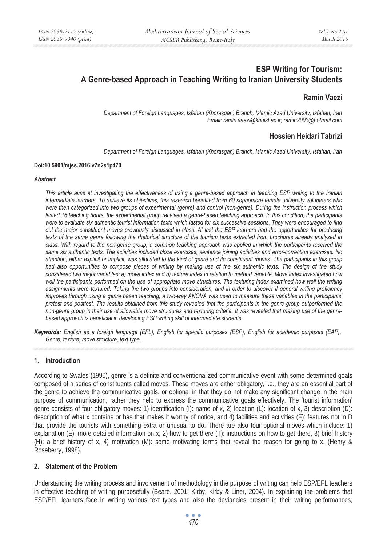# **ESP Writing for Tourism: A Genre-based Approach in Teaching Writing to Iranian University Students**

### **Ramin Vaezi**

*Department of Foreign Languages, Isfahan (Khorasgan) Branch, Islamic Azad University, Isfahan, Iran Email: ramin.vaezi@khuisf.ac.ir; ramin2003@hotmail.com* 

# **Hossien Heidari Tabrizi**

*Department of Foreign Languages, Isfahan (Khorasgan) Branch, Islamic Azad University, Isfahan, Iran* 

#### **Doi:10.5901/mjss.2016.v7n2s1p470**

#### *Abstract*

*This article aims at investigating the effectiveness of using a genre-based approach in teaching ESP writing to the Iranian intermediate learners. To achieve its objectives, this research benefited from 60 sophomore female university volunteers who were then categorized into two groups of experimental (genre) and control (non-genre). During the instruction process which*  lasted 16 teaching hours, the experimental group received a genre-based teaching approach. In this condition, the participants *were to evaluate six authentic tourist information texts which lasted for six successive sessions. They were encouraged to find out the major constituent moves previously discussed in class. At last the ESP learners had the opportunities for producing texts of the same genre following the rhetorical structure of the tourism texts extracted from brochures already analyzed in*  class. With regard to the non-genre group, a common teaching approach was applied in which the participants received the *same six authentic texts. The activities included cloze exercises, sentence joining activities and error-correction exercises. No attention, either explicit or implicit, was allocated to the kind of genre and its constituent moves. The participants in this group had also opportunities to compose pieces of writing by making use of the six authentic texts. The design of the study considered two major variables: a) move index and b) texture index in relation to method variable. Move index investigated how*  well the participants performed on the use of appropriate move structures. The texturing index examined how well the writing *assignments were textured. Taking the two groups into consideration, and in order to discover if general writing proficiency improves through using a genre based teaching, a two-way ANOVA was used to measure these variables in the participants' pretest and posttest. The results obtained from this study revealed that the participants in the genre group outperformed the non-genre group in their use of allowable move structures and texturing criteria. It was revealed that making use of the genrebased approach is beneficial in developing ESP writing skill of intermediate students.* 

*Keywords: English as a foreign language (EFL), English for specific purposes (ESP), English for academic purposes (EAP), Genre, texture, move structure, text type.* 

#### **1. Introduction**

According to Swales (1990), genre is a definite and conventionalized communicative event with some determined goals composed of a series of constituents called moves. These moves are either obligatory, i.e., they are an essential part of the genre to achieve the communicative goals, or optional in that they do not make any significant change in the main purpose of communication, rather they help to express the communicative goals effectively. The 'tourist information' genre consists of four obligatory moves: 1) identification (I): name of  $x$ , 2) location (L): location of  $x$ , 3) description (D): description of what x contains or has that makes it worthy of notice, and 4) facilities and activities (F): features not in D that provide the tourists with something extra or unusual to do. There are also four optional moves which include: 1) explanation (E): more detailed information on x, 2) how to get there (T): instructions on how to get there, 3) brief history (H): a brief history of x, 4) motivation (M): some motivating terms that reveal the reason for going to x. (Henry & Roseberry, 1998).

### **2. Statement of the Problem**

Understanding the writing process and involvement of methodology in the purpose of writing can help ESP/EFL teachers in effective teaching of writing purposefully (Beare, 2001; Kirby, Kirby & Liner, 2004). In explaining the problems that ESP/EFL learners face in writing various text types and also the deviancies present in their writing performances,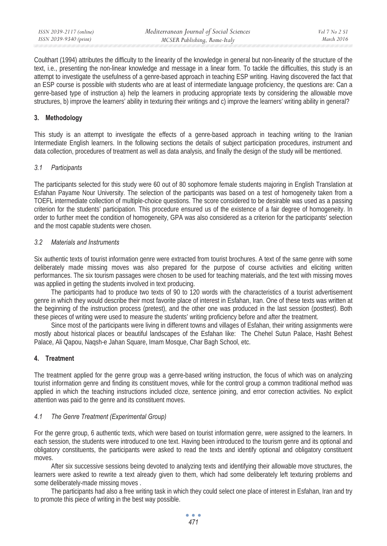Coulthart (1994) attributes the difficulty to the linearity of the knowledge in general but non-linearity of the structure of the text, i.e., presenting the non-linear knowledge and message in a linear form. To tackle the difficulties, this study is an attempt to investigate the usefulness of a genre-based approach in teaching ESP writing. Having discovered the fact that an ESP course is possible with students who are at least of intermediate language proficiency, the questions are: Can a genre-based type of instruction a) help the learners in producing appropriate texts by considering the allowable move structures, b) improve the learners' ability in texturing their writings and c) improve the learners' writing ability in general?

### **3. Methodology**

This study is an attempt to investigate the effects of a genre-based approach in teaching writing to the Iranian Intermediate English learners. In the following sections the details of subject participation procedures, instrument and data collection, procedures of treatment as well as data analysis, and finally the design of the study will be mentioned.

#### *3.1 Participants*

The participants selected for this study were 60 out of 80 sophomore female students majoring in English Translation at Esfahan Payame Nour University. The selection of the participants was based on a test of homogeneity taken from a TOEFL intermediate collection of multiple-choice questions. The score considered to be desirable was used as a passing criterion for the students' participation. This procedure ensured us of the existence of a fair degree of homogeneity. In order to further meet the condition of homogeneity, GPA was also considered as a criterion for the participants' selection and the most capable students were chosen.

### *3.2 Materials and Instruments*

Six authentic texts of tourist information genre were extracted from tourist brochures. A text of the same genre with some deliberately made missing moves was also prepared for the purpose of course activities and eliciting written performances. The six tourism passages were chosen to be used for teaching materials, and the text with missing moves was applied in getting the students involved in text producing.

The participants had to produce two texts of 90 to 120 words with the characteristics of a tourist advertisement genre in which they would describe their most favorite place of interest in Esfahan, Iran. One of these texts was written at the beginning of the instruction process (pretest), and the other one was produced in the last session (posttest). Both these pieces of writing were used to measure the students' writing proficiency before and after the treatment.

Since most of the participants were living in different towns and villages of Esfahan, their writing assignments were mostly about historical places or beautiful landscapes of the Esfahan like: The Chehel Sutun Palace, Hasht Behest Palace, Ali Qapou, Naqsh-e Jahan Square, Imam Mosque, Char Bagh School, etc.

# **4. Treatment**

The treatment applied for the genre group was a genre-based writing instruction, the focus of which was on analyzing tourist information genre and finding its constituent moves, while for the control group a common traditional method was applied in which the teaching instructions included cloze, sentence joining, and error correction activities. No explicit attention was paid to the genre and its constituent moves.

# *4.1 The Genre Treatment (Experimental Group)*

For the genre group, 6 authentic texts, which were based on tourist information genre, were assigned to the learners. In each session, the students were introduced to one text. Having been introduced to the tourism genre and its optional and obligatory constituents, the participants were asked to read the texts and identify optional and obligatory constituent moves.

After six successive sessions being devoted to analyzing texts and identifying their allowable move structures, the learners were asked to rewrite a text already given to them, which had some deliberately left texturing problems and some deliberately-made missing moves .

The participants had also a free writing task in which they could select one place of interest in Esfahan, Iran and try to promote this piece of writing in the best way possible.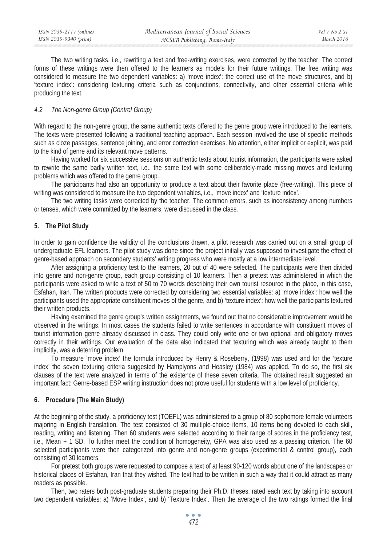The two writing tasks, i.e., rewriting a text and free-writing exercises, were corrected by the teacher. The correct forms of these writings were then offered to the learners as models for their future writings. The free writing was considered to measure the two dependent variables: a) 'move index': the correct use of the move structures, and b) 'texture index': considering texturing criteria such as conjunctions, connectivity, and other essential criteria while producing the text.

### *4.2 The Non-genre Group (Control Group)*

With regard to the non-genre group, the same authentic texts offered to the genre group were introduced to the learners. The texts were presented following a traditional teaching approach. Each session involved the use of specific methods such as cloze passages, sentence joining, and error correction exercises. No attention, either implicit or explicit, was paid to the kind of genre and its relevant move patterns.

Having worked for six successive sessions on authentic texts about tourist information, the participants were asked to rewrite the same badly written text, i.e., the same text with some deliberately-made missing moves and texturing problems which was offered to the genre group.

The participants had also an opportunity to produce a text about their favorite place (free-writing). This piece of writing was considered to measure the two dependent variables, i.e., 'move index' and 'texture index'.

The two writing tasks were corrected by the teacher. The common errors, such as inconsistency among numbers or tenses, which were committed by the learners, were discussed in the class.

### **5. The Pilot Study**

In order to gain confidence the validity of the conclusions drawn, a pilot research was carried out on a small group of undergraduate EFL learners. The pilot study was done since the project initially was supposed to investigate the effect of genre-based approach on secondary students' writing progress who were mostly at a low intermediate level.

After assigning a proficiency test to the learners, 20 out of 40 were selected. The participants were then divided into genre and non-genre group, each group consisting of 10 learners. Then a pretest was administered in which the participants were asked to write a text of 50 to 70 words describing their own tourist resource in the place, in this case, Esfahan, Iran. The written products were corrected by considering two essential variables: a) 'move index': how well the participants used the appropriate constituent moves of the genre, and b) 'texture index': how well the participants textured their written products.

Having examined the genre group's written assignments, we found out that no considerable improvement would be observed in the writings. In most cases the students failed to write sentences in accordance with constituent moves of tourist information genre already discussed in class. They could only write one or two optional and obligatory moves correctly in their writings. Our evaluation of the data also indicated that texturing which was already taught to them implicitly, was a deterring problem

To measure 'move index' the formula introduced by Henry & Roseberry, (1998) was used and for the 'texture index' the seven texturing criteria suggested by Hamplyons and Heasley (1984) was applied. To do so, the first six clauses of the text were analyzed in terms of the existence of these seven criteria. The obtained result suggested an important fact: Genre-based ESP writing instruction does not prove useful for students with a low level of proficiency.

#### **6. Procedure (The Main Study)**

At the beginning of the study, a proficiency test (TOEFL) was administered to a group of 80 sophomore female volunteers majoring in English translation. The test consisted of 30 multiple-choice items, 10 items being devoted to each skill, reading, writing and listening. Then 60 students were selected according to their range of scores in the proficiency test, i.e., Mean + 1 SD. To further meet the condition of homogeneity, GPA was also used as a passing criterion. The 60 selected participants were then categorized into genre and non-genre groups (experimental & control group), each consisting of 30 learners.

For pretest both groups were requested to compose a text of at least 90-120 words about one of the landscapes or historical places of Esfahan, Iran that they wished. The text had to be written in such a way that it could attract as many readers as possible.

Then, two raters both post-graduate students preparing their Ph.D. theses, rated each text by taking into account two dependent variables: a) 'Move Index', and b) 'Texture Index'. Then the average of the two ratings formed the final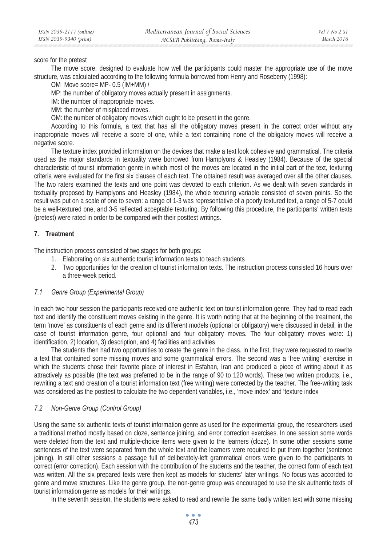score for the pretest

The move score, designed to evaluate how well the participants could master the appropriate use of the move structure, was calculated according to the following formula borrowed from Henry and Roseberry (1998):

OM Move score= MP- 0.5 (IM+MM) /

MP: the number of obligatory moves actually present in assignments.

IM: the number of inappropriate moves.

MM: the number of misplaced moves.

OM: the number of obligatory moves which ought to be present in the genre.

According to this formula, a text that has all the obligatory moves present in the correct order without any inappropriate moves will receive a score of one, while a text containing none of the obligatory moves will receive a negative score.

The texture index provided information on the devices that make a text look cohesive and grammatical. The criteria used as the major standards in textuality were borrowed from Hamplyons & Heasley (1984). Because of the special characteristic of tourist information genre in which most of the moves are located in the initial part of the text, texturing criteria were evaluated for the first six clauses of each text. The obtained result was averaged over all the other clauses. The two raters examined the texts and one point was devoted to each criterion. As we dealt with seven standards in textuality proposed by Hamplyons and Heasley (1984), the whole texturing variable consisted of seven points. So the result was put on a scale of one to seven: a range of 1-3 was representative of a poorly textured text, a range of 5-7 could be a well-textured one, and 3-5 reflected acceptable texturing. By following this procedure, the participants' written texts (pretest) were rated in order to be compared with their posttest writings.

# **7. Treatment**

The instruction process consisted of two stages for both groups:

- 1. Elaborating on six authentic tourist information texts to teach students
- 2. Two opportunities for the creation of tourist information texts. The instruction process consisted 16 hours over a three-week period.

# *7.1 Genre Group (Experimental Group)*

In each two hour session the participants received one authentic text on tourist information genre. They had to read each text and identify the constituent moves existing in the genre. It is worth noting that at the beginning of the treatment, the term 'move' as constituents of each genre and its different models (optional or obligatory) were discussed in detail, in the case of tourist information genre, four optional and four obligatory moves. The four obligatory moves were: 1) identification, 2) location, 3) description, and 4) facilities and activities

The students then had two opportunities to create the genre in the class. In the first, they were requested to rewrite a text that contained some missing moves and some grammatical errors. The second was a 'free writing' exercise in which the students chose their favorite place of interest in Esfahan, Iran and produced a piece of writing about it as attractively as possible (the text was preferred to be in the range of 90 to 120 words). These two written products, i.e., rewriting a text and creation of a tourist information text (free writing) were corrected by the teacher. The free-writing task was considered as the posttest to calculate the two dependent variables, i.e., 'move index' and 'texture index

#### *7.2 Non-Genre Group (Control Group)*

Using the same six authentic texts of tourist information genre as used for the experimental group, the researchers used a traditional method mostly based on cloze, sentence joining, and error correction exercises. In one session some words were deleted from the text and multiple-choice items were given to the learners (cloze). In some other sessions some sentences of the text were separated from the whole text and the learners were required to put them together (sentence joining). In still other sessions a passage full of deliberately-left grammatical errors were given to the participants to correct (error correction). Each session with the contribution of the students and the teacher, the correct form of each text was written. All the six prepared texts were then kept as models for students' later writings. No focus was accorded to genre and move structures. Like the genre group, the non-genre group was encouraged to use the six authentic texts of tourist information genre as models for their writings.

In the seventh session, the students were asked to read and rewrite the same badly written text with some missing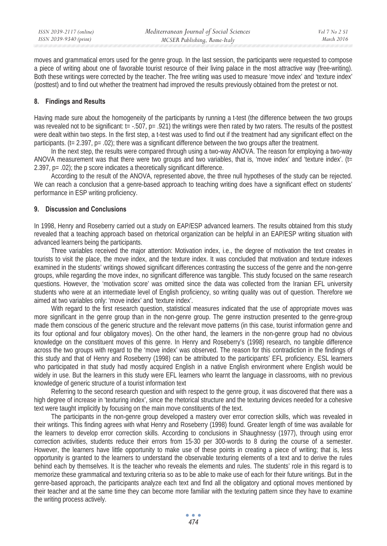moves and grammatical errors used for the genre group. In the last session, the participants were requested to compose a piece of writing about one of favorable tourist resource of their living palace in the most attractive way (free-writing). Both these writings were corrected by the teacher. The free writing was used to measure 'move index' and 'texture index' (posttest) and to find out whether the treatment had improved the results previously obtained from the pretest or not.

### **8. Findings and Results**

Having made sure about the homogeneity of the participants by running a t-test (the difference between the two groups was revealed not to be significant:  $t = -.507$ ,  $p = .921$ ) the writings were then rated by two raters. The results of the posttest were dealt within two steps. In the first step, a t-test was used to find out if the treatment had any significant effect on the participants. (t= 2.397, p= .02); there was a significant difference between the two groups after the treatment.

In the next step, the results were compared through using a two-way ANOVA. The reason for employing a two-way ANOVA measurement was that there were two groups and two variables, that is, 'move index' and 'texture index'. (t= 2.397, p= .02); the p score indicates a theoretically significant difference.

According to the result of the ANOVA, represented above, the three null hypotheses of the study can be rejected. We can reach a conclusion that a genre-based approach to teaching writing does have a significant effect on students' performance in ESP writing proficiency.

### **9. Discussion and Conclusions**

In 1998, Henry and Roseberry carried out a study on EAP/ESP advanced learners. The results obtained from this study revealed that a teaching approach based on rhetorical organization can be helpful in an EAP/ESP writing situation with advanced learners being the participants.

Three variables received the major attention: Motivation index, i.e., the degree of motivation the text creates in tourists to visit the place, the move index, and the texture index. It was concluded that motivation and texture indexes examined in the students' writings showed significant differences contrasting the success of the genre and the non-genre groups, while regarding the move index, no significant difference was tangible. This study focused on the same research questions. However, the 'motivation score' was omitted since the data was collected from the Iranian EFL university students who were at an intermediate level of English proficiency, so writing quality was out of question. Therefore we aimed at two variables only: 'move index' and 'texture index'.

With regard to the first research question, statistical measures indicated that the use of appropriate moves was more significant in the genre group than in the non-genre group. The genre instruction presented to the genre-group made them conscious of the generic structure and the relevant move patterns (in this case, tourist information genre and its four optional and four obligatory moves). On the other hand, the learners in the non-genre group had no obvious knowledge on the constituent moves of this genre. In Henry and Roseberry's (1998) research, no tangible difference across the two groups with regard to the 'move index' was observed. The reason for this contradiction in the findings of this study and that of Henry and Roseberry (1998) can be attributed to the participants' EFL proficiency. ESL learners who participated in that study had mostly acquired English in a native English environment where English would be widely in use. But the learners in this study were EFL learners who learnt the language in classrooms, with no previous knowledge of generic structure of a tourist information text

Referring to the second research question and with respect to the genre group, it was discovered that there was a high degree of increase in 'texturing index', since the rhetorical structure and the texturing devices needed for a cohesive text were taught implicitly by focusing on the main move constituents of the text.

The participants in the non-genre group developed a mastery over error correction skills, which was revealed in their writings. This finding agrees with what Henry and Roseberry (1998) found. Greater length of time was available for the learners to develop error correction skills. According to conclusions in Shaughnessy (1977), through using error correction activities, students reduce their errors from 15-30 per 300-words to 8 during the course of a semester. However, the learners have little opportunity to make use of these points in creating a piece of writing; that is, less opportunity is granted to the learners to understand the observable texturing elements of a text and to derive the rules behind each by themselves. It is the teacher who reveals the elements and rules. The students' role in this regard is to memorize these grammatical and texturing criteria so as to be able to make use of each for their future writings. But in the genre-based approach, the participants analyze each text and find all the obligatory and optional moves mentioned by their teacher and at the same time they can become more familiar with the texturing pattern since they have to examine the writing process actively.